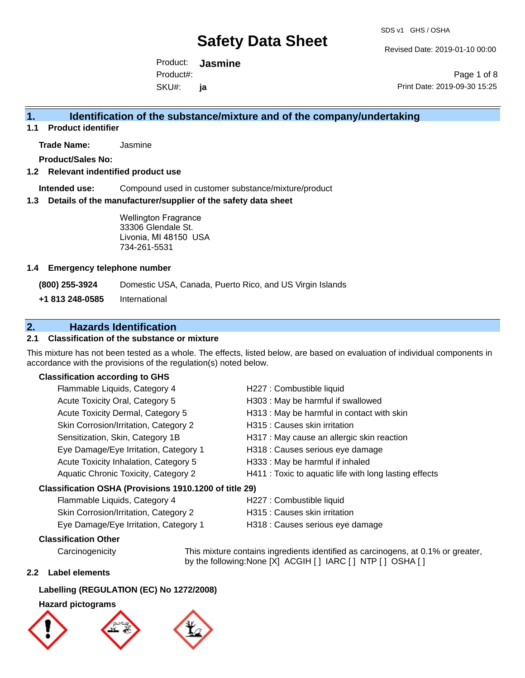Revised Date: 2019-01-10 00:00

Product: **Jasmine**  SKU#: Product#: **ja**

Page 1 of 8 Print Date: 2019-09-30 15:25

### **1. Identification of the substance/mixture and of the company/undertaking**

**1.1 Product identifier**

**Trade Name:** Jasmine

**Product/Sales No:**

#### **1.2 Relevant indentified product use**

**Intended use:** Compound used in customer substance/mixture/product

#### **1.3 Details of the manufacturer/supplier of the safety data sheet**

Wellington Fragrance 33306 Glendale St. Livonia, MI 48150 USA 734-261-5531

#### **1.4 Emergency telephone number**

**(800) 255-3924** Domestic USA, Canada, Puerto Rico, and US Virgin Islands

**+1 813 248-0585** International

# **2. Hazards Identification**

#### **2.1 Classification of the substance or mixture**

This mixture has not been tested as a whole. The effects, listed below, are based on evaluation of individual components in accordance with the provisions of the regulation(s) noted below.

#### **Classification according to GHS**

| Flammable Liquids, Category 4                          | H227 : Combustible liquid                              |
|--------------------------------------------------------|--------------------------------------------------------|
| Acute Toxicity Oral, Category 5                        | H303 : May be harmful if swallowed                     |
| Acute Toxicity Dermal, Category 5                      | H313 : May be harmful in contact with skin             |
| Skin Corrosion/Irritation, Category 2                  | H315 : Causes skin irritation                          |
| Sensitization, Skin, Category 1B                       | H317 : May cause an allergic skin reaction             |
| Eye Damage/Eye Irritation, Category 1                  | H318 : Causes serious eye damage                       |
| Acute Toxicity Inhalation, Category 5                  | H333: May be harmful if inhaled                        |
| Aquatic Chronic Toxicity, Category 2                   | H411 : Toxic to aquatic life with long lasting effects |
| Classification OSHA (Provisions 1910.1200 of title 29) |                                                        |
| Elammable Liquide Category 4                           | H227 · Combuctible liquid                              |

| Flammable Liquids, Category 4         | H227 : Combustible liquid        |
|---------------------------------------|----------------------------------|
| Skin Corrosion/Irritation, Category 2 | H315 : Causes skin irritation    |
| Eye Damage/Eye Irritation, Category 1 | H318 : Causes serious eye damage |

#### **Classification Other**

Carcinogenicity This mixture contains ingredients identified as carcinogens, at 0.1% or greater, by the following:None [X] ACGIH [] IARC [] NTP [] OSHA []

#### **2.2 Label elements**

#### **Labelling (REGULATION (EC) No 1272/2008)**

#### **Hazard pictograms**





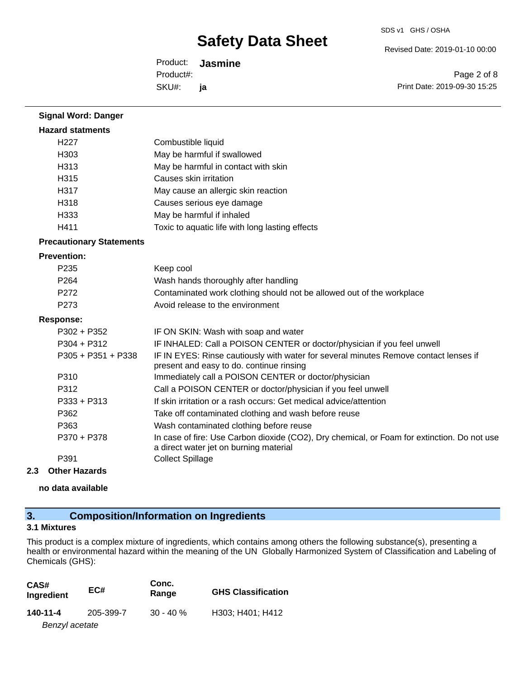Revised Date: 2019-01-10 00:00

Product: **Jasmine**  SKU#: Product#: **ja**

Page 2 of 8 Print Date: 2019-09-30 15:25

| <b>Signal Word: Danger</b>      |                                                                                                                                       |
|---------------------------------|---------------------------------------------------------------------------------------------------------------------------------------|
| <b>Hazard statments</b>         |                                                                                                                                       |
| H <sub>227</sub>                | Combustible liquid                                                                                                                    |
| H <sub>303</sub>                | May be harmful if swallowed                                                                                                           |
| H313                            | May be harmful in contact with skin                                                                                                   |
| H315                            | Causes skin irritation                                                                                                                |
| H317                            | May cause an allergic skin reaction                                                                                                   |
| H318                            | Causes serious eye damage                                                                                                             |
| H333                            | May be harmful if inhaled                                                                                                             |
| H411                            | Toxic to aquatic life with long lasting effects                                                                                       |
| <b>Precautionary Statements</b> |                                                                                                                                       |
| <b>Prevention:</b>              |                                                                                                                                       |
| P <sub>235</sub>                | Keep cool                                                                                                                             |
| P264                            | Wash hands thoroughly after handling                                                                                                  |
| P272                            | Contaminated work clothing should not be allowed out of the workplace                                                                 |
| P273                            | Avoid release to the environment                                                                                                      |
| <b>Response:</b>                |                                                                                                                                       |
| $P302 + P352$                   | IF ON SKIN: Wash with soap and water                                                                                                  |
| $P304 + P312$                   | IF INHALED: Call a POISON CENTER or doctor/physician if you feel unwell                                                               |
| P305 + P351 + P338              | IF IN EYES: Rinse cautiously with water for several minutes Remove contact lenses if<br>present and easy to do. continue rinsing      |
| P310                            | Immediately call a POISON CENTER or doctor/physician                                                                                  |
| P312                            | Call a POISON CENTER or doctor/physician if you feel unwell                                                                           |
| $P333 + P313$                   | If skin irritation or a rash occurs: Get medical advice/attention                                                                     |
| P362                            | Take off contaminated clothing and wash before reuse                                                                                  |
| P363                            | Wash contaminated clothing before reuse                                                                                               |
| P370 + P378                     | In case of fire: Use Carbon dioxide (CO2), Dry chemical, or Foam for extinction. Do not use<br>a direct water jet on burning material |
| P391                            | <b>Collect Spillage</b>                                                                                                               |

#### **2.3 Other Hazards**

**no data available**

# **3. Composition/Information on Ingredients**

### **3.1 Mixtures**

This product is a complex mixture of ingredients, which contains among others the following substance(s), presenting a health or environmental hazard within the meaning of the UN Globally Harmonized System of Classification and Labeling of Chemicals (GHS):

| CAS#<br>Ingredient | EC#       | Conc.<br>Range | <b>GHS Classification</b> |
|--------------------|-----------|----------------|---------------------------|
| 140-11-4           | 205-399-7 | $30 - 40 \%$   | H303; H401; H412          |
| Benzyl acetate     |           |                |                           |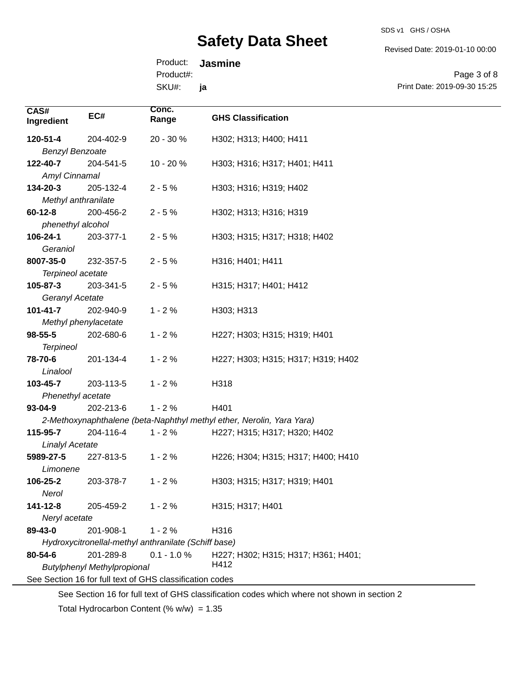SDS v1 GHS / OSHA

Revised Date: 2019-01-10 00:00

Product: **Jasmine**  Product#: **ja**

SKU#:

Page 3 of 8 Print Date: 2019-09-30 15:25

| 120-51-4<br>204-402-9<br>20 - 30 %<br>H302; H313; H400; H411<br><b>Benzyl Benzoate</b><br>122-40-7<br>10 - 20 %<br>H303; H316; H317; H401; H411<br>204-541-5<br>Amyl Cinnamal<br>134-20-3<br>205-132-4<br>$2 - 5%$<br>H303; H316; H319; H402<br>Methyl anthranilate<br>$60 - 12 - 8$<br>200-456-2<br>$2 - 5%$<br>H302; H313; H316; H319<br>phenethyl alcohol<br>106-24-1<br>203-377-1<br>$2 - 5%$<br>H303; H315; H317; H318; H402<br>Geraniol<br>8007-35-0<br>232-357-5<br>$2 - 5%$<br>H316; H401; H411<br>Terpineol acetate<br>105-87-3<br>203-341-5<br>$2 - 5%$<br>H315; H317; H401; H412<br>Geranyl Acetate<br>$1 - 2%$<br>$101 - 41 - 7$<br>202-940-9<br>H303; H313<br>Methyl phenylacetate<br>98-55-5<br>202-680-6<br>$1 - 2%$<br>H227; H303; H315; H319; H401<br><b>Terpineol</b><br>$1 - 2%$<br>78-70-6<br>201-134-4<br>H227; H303; H315; H317; H319; H402<br>Linalool<br>103-45-7<br>$1 - 2%$<br>203-113-5<br>H318<br>Phenethyl acetate<br>$1 - 2%$<br>$93 - 04 - 9$<br>202-213-6<br>H401<br>2-Methoxynaphthalene (beta-Naphthyl methyl ether, Nerolin, Yara Yara)<br>115-95-7<br>204-116-4<br>$1 - 2%$<br>H227; H315; H317; H320; H402<br><b>Linalyl Acetate</b><br>5989-27-5<br>227-813-5<br>$1 - 2%$<br>H226; H304; H315; H317; H400; H410<br>Limonene<br>106-25-2<br>203-378-7<br>$1 - 2%$<br>H303; H315; H317; H319; H401<br>Nerol<br>141-12-8<br>$1 - 2%$<br>H315; H317; H401<br>205-459-2<br>Neryl acetate<br>H316<br>89-43-0<br>201-908-1<br>$1 - 2%$ | CAS#<br>Ingredient | EC# | Conc.<br>Range | <b>GHS Classification</b> |
|-----------------------------------------------------------------------------------------------------------------------------------------------------------------------------------------------------------------------------------------------------------------------------------------------------------------------------------------------------------------------------------------------------------------------------------------------------------------------------------------------------------------------------------------------------------------------------------------------------------------------------------------------------------------------------------------------------------------------------------------------------------------------------------------------------------------------------------------------------------------------------------------------------------------------------------------------------------------------------------------------------------------------------------------------------------------------------------------------------------------------------------------------------------------------------------------------------------------------------------------------------------------------------------------------------------------------------------------------------------------------------------------------------------------------------------------------------------------------|--------------------|-----|----------------|---------------------------|
|                                                                                                                                                                                                                                                                                                                                                                                                                                                                                                                                                                                                                                                                                                                                                                                                                                                                                                                                                                                                                                                                                                                                                                                                                                                                                                                                                                                                                                                                       |                    |     |                |                           |
|                                                                                                                                                                                                                                                                                                                                                                                                                                                                                                                                                                                                                                                                                                                                                                                                                                                                                                                                                                                                                                                                                                                                                                                                                                                                                                                                                                                                                                                                       |                    |     |                |                           |
|                                                                                                                                                                                                                                                                                                                                                                                                                                                                                                                                                                                                                                                                                                                                                                                                                                                                                                                                                                                                                                                                                                                                                                                                                                                                                                                                                                                                                                                                       |                    |     |                |                           |
|                                                                                                                                                                                                                                                                                                                                                                                                                                                                                                                                                                                                                                                                                                                                                                                                                                                                                                                                                                                                                                                                                                                                                                                                                                                                                                                                                                                                                                                                       |                    |     |                |                           |
|                                                                                                                                                                                                                                                                                                                                                                                                                                                                                                                                                                                                                                                                                                                                                                                                                                                                                                                                                                                                                                                                                                                                                                                                                                                                                                                                                                                                                                                                       |                    |     |                |                           |
|                                                                                                                                                                                                                                                                                                                                                                                                                                                                                                                                                                                                                                                                                                                                                                                                                                                                                                                                                                                                                                                                                                                                                                                                                                                                                                                                                                                                                                                                       |                    |     |                |                           |
|                                                                                                                                                                                                                                                                                                                                                                                                                                                                                                                                                                                                                                                                                                                                                                                                                                                                                                                                                                                                                                                                                                                                                                                                                                                                                                                                                                                                                                                                       |                    |     |                |                           |
|                                                                                                                                                                                                                                                                                                                                                                                                                                                                                                                                                                                                                                                                                                                                                                                                                                                                                                                                                                                                                                                                                                                                                                                                                                                                                                                                                                                                                                                                       |                    |     |                |                           |
|                                                                                                                                                                                                                                                                                                                                                                                                                                                                                                                                                                                                                                                                                                                                                                                                                                                                                                                                                                                                                                                                                                                                                                                                                                                                                                                                                                                                                                                                       |                    |     |                |                           |
|                                                                                                                                                                                                                                                                                                                                                                                                                                                                                                                                                                                                                                                                                                                                                                                                                                                                                                                                                                                                                                                                                                                                                                                                                                                                                                                                                                                                                                                                       |                    |     |                |                           |
|                                                                                                                                                                                                                                                                                                                                                                                                                                                                                                                                                                                                                                                                                                                                                                                                                                                                                                                                                                                                                                                                                                                                                                                                                                                                                                                                                                                                                                                                       |                    |     |                |                           |
|                                                                                                                                                                                                                                                                                                                                                                                                                                                                                                                                                                                                                                                                                                                                                                                                                                                                                                                                                                                                                                                                                                                                                                                                                                                                                                                                                                                                                                                                       |                    |     |                |                           |
|                                                                                                                                                                                                                                                                                                                                                                                                                                                                                                                                                                                                                                                                                                                                                                                                                                                                                                                                                                                                                                                                                                                                                                                                                                                                                                                                                                                                                                                                       |                    |     |                |                           |
|                                                                                                                                                                                                                                                                                                                                                                                                                                                                                                                                                                                                                                                                                                                                                                                                                                                                                                                                                                                                                                                                                                                                                                                                                                                                                                                                                                                                                                                                       |                    |     |                |                           |
|                                                                                                                                                                                                                                                                                                                                                                                                                                                                                                                                                                                                                                                                                                                                                                                                                                                                                                                                                                                                                                                                                                                                                                                                                                                                                                                                                                                                                                                                       |                    |     |                |                           |
|                                                                                                                                                                                                                                                                                                                                                                                                                                                                                                                                                                                                                                                                                                                                                                                                                                                                                                                                                                                                                                                                                                                                                                                                                                                                                                                                                                                                                                                                       |                    |     |                |                           |
|                                                                                                                                                                                                                                                                                                                                                                                                                                                                                                                                                                                                                                                                                                                                                                                                                                                                                                                                                                                                                                                                                                                                                                                                                                                                                                                                                                                                                                                                       |                    |     |                |                           |
|                                                                                                                                                                                                                                                                                                                                                                                                                                                                                                                                                                                                                                                                                                                                                                                                                                                                                                                                                                                                                                                                                                                                                                                                                                                                                                                                                                                                                                                                       |                    |     |                |                           |
|                                                                                                                                                                                                                                                                                                                                                                                                                                                                                                                                                                                                                                                                                                                                                                                                                                                                                                                                                                                                                                                                                                                                                                                                                                                                                                                                                                                                                                                                       |                    |     |                |                           |
|                                                                                                                                                                                                                                                                                                                                                                                                                                                                                                                                                                                                                                                                                                                                                                                                                                                                                                                                                                                                                                                                                                                                                                                                                                                                                                                                                                                                                                                                       |                    |     |                |                           |
|                                                                                                                                                                                                                                                                                                                                                                                                                                                                                                                                                                                                                                                                                                                                                                                                                                                                                                                                                                                                                                                                                                                                                                                                                                                                                                                                                                                                                                                                       |                    |     |                |                           |
|                                                                                                                                                                                                                                                                                                                                                                                                                                                                                                                                                                                                                                                                                                                                                                                                                                                                                                                                                                                                                                                                                                                                                                                                                                                                                                                                                                                                                                                                       |                    |     |                |                           |
|                                                                                                                                                                                                                                                                                                                                                                                                                                                                                                                                                                                                                                                                                                                                                                                                                                                                                                                                                                                                                                                                                                                                                                                                                                                                                                                                                                                                                                                                       |                    |     |                |                           |
|                                                                                                                                                                                                                                                                                                                                                                                                                                                                                                                                                                                                                                                                                                                                                                                                                                                                                                                                                                                                                                                                                                                                                                                                                                                                                                                                                                                                                                                                       |                    |     |                |                           |
|                                                                                                                                                                                                                                                                                                                                                                                                                                                                                                                                                                                                                                                                                                                                                                                                                                                                                                                                                                                                                                                                                                                                                                                                                                                                                                                                                                                                                                                                       |                    |     |                |                           |
|                                                                                                                                                                                                                                                                                                                                                                                                                                                                                                                                                                                                                                                                                                                                                                                                                                                                                                                                                                                                                                                                                                                                                                                                                                                                                                                                                                                                                                                                       |                    |     |                |                           |
|                                                                                                                                                                                                                                                                                                                                                                                                                                                                                                                                                                                                                                                                                                                                                                                                                                                                                                                                                                                                                                                                                                                                                                                                                                                                                                                                                                                                                                                                       |                    |     |                |                           |
|                                                                                                                                                                                                                                                                                                                                                                                                                                                                                                                                                                                                                                                                                                                                                                                                                                                                                                                                                                                                                                                                                                                                                                                                                                                                                                                                                                                                                                                                       |                    |     |                |                           |
|                                                                                                                                                                                                                                                                                                                                                                                                                                                                                                                                                                                                                                                                                                                                                                                                                                                                                                                                                                                                                                                                                                                                                                                                                                                                                                                                                                                                                                                                       |                    |     |                |                           |
|                                                                                                                                                                                                                                                                                                                                                                                                                                                                                                                                                                                                                                                                                                                                                                                                                                                                                                                                                                                                                                                                                                                                                                                                                                                                                                                                                                                                                                                                       |                    |     |                |                           |
|                                                                                                                                                                                                                                                                                                                                                                                                                                                                                                                                                                                                                                                                                                                                                                                                                                                                                                                                                                                                                                                                                                                                                                                                                                                                                                                                                                                                                                                                       |                    |     |                |                           |
|                                                                                                                                                                                                                                                                                                                                                                                                                                                                                                                                                                                                                                                                                                                                                                                                                                                                                                                                                                                                                                                                                                                                                                                                                                                                                                                                                                                                                                                                       |                    |     |                |                           |
|                                                                                                                                                                                                                                                                                                                                                                                                                                                                                                                                                                                                                                                                                                                                                                                                                                                                                                                                                                                                                                                                                                                                                                                                                                                                                                                                                                                                                                                                       |                    |     |                |                           |
|                                                                                                                                                                                                                                                                                                                                                                                                                                                                                                                                                                                                                                                                                                                                                                                                                                                                                                                                                                                                                                                                                                                                                                                                                                                                                                                                                                                                                                                                       |                    |     |                |                           |
| Hydroxycitronellal-methyl anthranilate (Schiff base)                                                                                                                                                                                                                                                                                                                                                                                                                                                                                                                                                                                                                                                                                                                                                                                                                                                                                                                                                                                                                                                                                                                                                                                                                                                                                                                                                                                                                  |                    |     |                |                           |
| 80-54-6<br>201-289-8<br>$0.1 - 1.0 %$<br>H227; H302; H315; H317; H361; H401;                                                                                                                                                                                                                                                                                                                                                                                                                                                                                                                                                                                                                                                                                                                                                                                                                                                                                                                                                                                                                                                                                                                                                                                                                                                                                                                                                                                          |                    |     |                |                           |
| H412<br><b>Butylphenyl Methylpropional</b>                                                                                                                                                                                                                                                                                                                                                                                                                                                                                                                                                                                                                                                                                                                                                                                                                                                                                                                                                                                                                                                                                                                                                                                                                                                                                                                                                                                                                            |                    |     |                |                           |
| See Section 16 for full text of GHS classification codes                                                                                                                                                                                                                                                                                                                                                                                                                                                                                                                                                                                                                                                                                                                                                                                                                                                                                                                                                                                                                                                                                                                                                                                                                                                                                                                                                                                                              |                    |     |                |                           |

See Section 16 for full text of GHS classification codes which where not shown in section 2

Total Hydrocarbon Content (%  $w/w$ ) = 1.35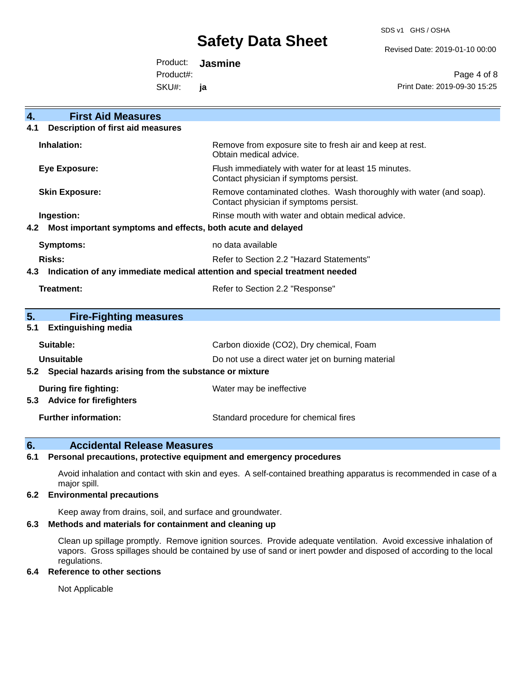SDS v1 GHS / OSHA

Revised Date: 2019-01-10 00:00

Product: **Jasmine**  Product#:

SKU#: **ja**

Page 4 of 8 Print Date: 2019-09-30 15:25

| <b>First Aid Measures</b><br>4.                                                   |                                                                                                               |  |
|-----------------------------------------------------------------------------------|---------------------------------------------------------------------------------------------------------------|--|
| <b>Description of first aid measures</b><br>4.1                                   |                                                                                                               |  |
| Inhalation:                                                                       | Remove from exposure site to fresh air and keep at rest.<br>Obtain medical advice.                            |  |
| <b>Eye Exposure:</b>                                                              | Flush immediately with water for at least 15 minutes.<br>Contact physician if symptoms persist.               |  |
| <b>Skin Exposure:</b>                                                             | Remove contaminated clothes. Wash thoroughly with water (and soap).<br>Contact physician if symptoms persist. |  |
| Ingestion:                                                                        | Rinse mouth with water and obtain medical advice.                                                             |  |
| Most important symptoms and effects, both acute and delayed<br>4.2                |                                                                                                               |  |
| <b>Symptoms:</b>                                                                  | no data available                                                                                             |  |
| <b>Risks:</b>                                                                     | Refer to Section 2.2 "Hazard Statements"                                                                      |  |
| Indication of any immediate medical attention and special treatment needed<br>4.3 |                                                                                                               |  |
| Treatment:                                                                        | Refer to Section 2.2 "Response"                                                                               |  |
|                                                                                   |                                                                                                               |  |
| 5.<br><b>Fire-Fighting measures</b><br><b>Extinguishing media</b><br>5.1          |                                                                                                               |  |
| Suitable:                                                                         | Carbon dioxide (CO2), Dry chemical, Foam                                                                      |  |
| Unsuitable                                                                        | Do not use a direct water jet on burning material                                                             |  |
| Special hazards arising from the substance or mixture<br>5.2                      |                                                                                                               |  |
| During fire fighting:                                                             | Water may be ineffective                                                                                      |  |
| <b>Advice for firefighters</b><br>5.3                                             |                                                                                                               |  |
| <b>Further information:</b>                                                       | Standard procedure for chemical fires                                                                         |  |

### **6. Accidental Release Measures**

#### **6.1 Personal precautions, protective equipment and emergency procedures**

Avoid inhalation and contact with skin and eyes. A self-contained breathing apparatus is recommended in case of a major spill.

#### **6.2 Environmental precautions**

Keep away from drains, soil, and surface and groundwater.

#### **6.3 Methods and materials for containment and cleaning up**

Clean up spillage promptly. Remove ignition sources. Provide adequate ventilation. Avoid excessive inhalation of vapors. Gross spillages should be contained by use of sand or inert powder and disposed of according to the local regulations.

#### **6.4 Reference to other sections**

Not Applicable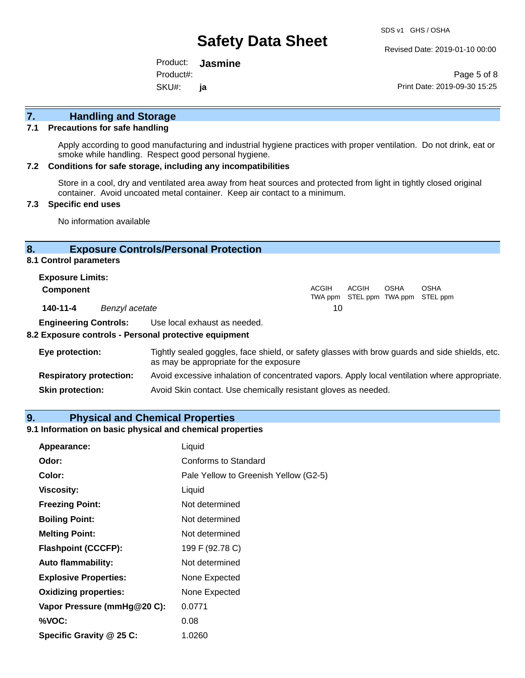Revised Date: 2019-01-10 00:00

Product: **Jasmine**  SKU#: Product#: **ja**

Page 5 of 8 Print Date: 2019-09-30 15:25

# **7. Handling and Storage**

#### **7.1 Precautions for safe handling**

Apply according to good manufacturing and industrial hygiene practices with proper ventilation. Do not drink, eat or smoke while handling. Respect good personal hygiene.

#### **7.2 Conditions for safe storage, including any incompatibilities**

Store in a cool, dry and ventilated area away from heat sources and protected from light in tightly closed original container. Avoid uncoated metal container. Keep air contact to a minimum.

#### **7.3 Specific end uses**

No information available

#### **8. Exposure Controls/Personal Protection**

#### **8.1 Control parameters**

| <b>Exposure Limits:</b> |                |       |       |             |                                           |
|-------------------------|----------------|-------|-------|-------------|-------------------------------------------|
| <b>Component</b>        |                | ACGIH | ACGIH | <b>OSHA</b> | OSHA<br>TWA ppm STEL ppm TWA ppm STEL ppm |
| 140-11-4                | Benzyl acetate | 10    |       |             |                                           |

**Engineering Controls:** Use local exhaust as needed.

#### **8.2 Exposure controls - Personal protective equipment**

| Eye protection:                | Tightly sealed goggles, face shield, or safety glasses with brow guards and side shields, etc.<br>as may be appropriate for the exposure |
|--------------------------------|------------------------------------------------------------------------------------------------------------------------------------------|
| <b>Respiratory protection:</b> | Avoid excessive inhalation of concentrated vapors. Apply local ventilation where appropriate.                                            |
| <b>Skin protection:</b>        | Avoid Skin contact. Use chemically resistant gloves as needed.                                                                           |

#### **9. Physical and Chemical Properties**

#### **9.1 Information on basic physical and chemical properties**

| Appearance:                  | Liquid                                |
|------------------------------|---------------------------------------|
| Odor:                        | Conforms to Standard                  |
| Color:                       | Pale Yellow to Greenish Yellow (G2-5) |
| <b>Viscosity:</b>            | Liquid                                |
| <b>Freezing Point:</b>       | Not determined                        |
| <b>Boiling Point:</b>        | Not determined                        |
| <b>Melting Point:</b>        | Not determined                        |
| <b>Flashpoint (CCCFP):</b>   | 199 F (92.78 C)                       |
| <b>Auto flammability:</b>    | Not determined                        |
| <b>Explosive Properties:</b> | None Expected                         |
| <b>Oxidizing properties:</b> | None Expected                         |
| Vapor Pressure (mmHg@20 C):  | 0.0771                                |
| %VOC:                        | 0.08                                  |
| Specific Gravity @ 25 C:     | 1.0260                                |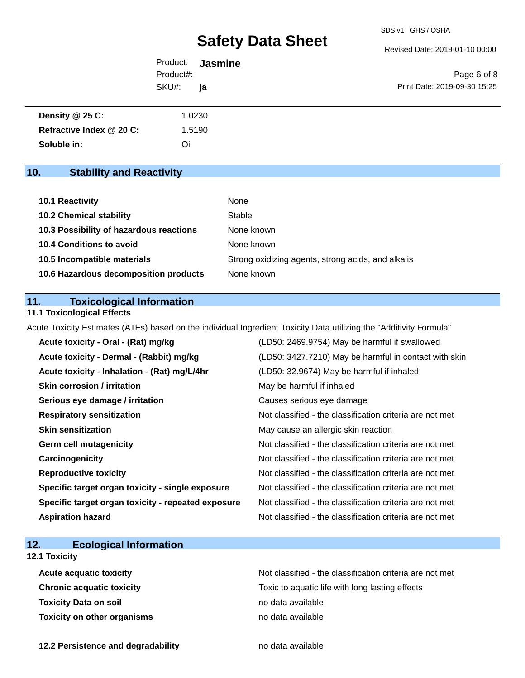Revised Date: 2019-01-10 00:00

|           | Product: <b>Jasmine</b> |                              |
|-----------|-------------------------|------------------------------|
| Product#: |                         | Page 6 of 8                  |
| SKU#:     | <b>ia</b>               | Print Date: 2019-09-30 15:25 |

| Density $@25C$ :         | 1.0230 |
|--------------------------|--------|
| Refractive Index @ 20 C: | 1.5190 |
| Soluble in:              | Oil    |

# **10. Stability and Reactivity**

| 10.1 Reactivity                         | None                                               |
|-----------------------------------------|----------------------------------------------------|
| <b>10.2 Chemical stability</b>          | Stable                                             |
| 10.3 Possibility of hazardous reactions | None known                                         |
| <b>10.4 Conditions to avoid</b>         | None known                                         |
| 10.5 Incompatible materials             | Strong oxidizing agents, strong acids, and alkalis |
| 10.6 Hazardous decomposition products   | None known                                         |

### **11. Toxicological Information**

### **11.1 Toxicological Effects**

Acute Toxicity Estimates (ATEs) based on the individual Ingredient Toxicity Data utilizing the "Additivity Formula"

| Acute toxicity - Oral - (Rat) mg/kg                | (LD50: 2469.9754) May be harmful if swallowed            |
|----------------------------------------------------|----------------------------------------------------------|
| Acute toxicity - Dermal - (Rabbit) mg/kg           | (LD50: 3427.7210) May be harmful in contact with skin    |
| Acute toxicity - Inhalation - (Rat) mg/L/4hr       | (LD50: 32.9674) May be harmful if inhaled                |
| <b>Skin corrosion / irritation</b>                 | May be harmful if inhaled                                |
| Serious eye damage / irritation                    | Causes serious eye damage                                |
| <b>Respiratory sensitization</b>                   | Not classified - the classification criteria are not met |
| <b>Skin sensitization</b>                          | May cause an allergic skin reaction                      |
| <b>Germ cell mutagenicity</b>                      | Not classified - the classification criteria are not met |
| Carcinogenicity                                    | Not classified - the classification criteria are not met |
| <b>Reproductive toxicity</b>                       | Not classified - the classification criteria are not met |
| Specific target organ toxicity - single exposure   | Not classified - the classification criteria are not met |
| Specific target organ toxicity - repeated exposure | Not classified - the classification criteria are not met |
| <b>Aspiration hazard</b>                           | Not classified - the classification criteria are not met |

# **12. Ecological Information**

### **12.1 Toxicity**

| <b>Acute acquatic toxicity</b>     | Not classified - the classification criteria are not met |
|------------------------------------|----------------------------------------------------------|
| <b>Chronic acquatic toxicity</b>   | Toxic to aquatic life with long lasting effects          |
| <b>Toxicity Data on soil</b>       | no data available                                        |
| <b>Toxicity on other organisms</b> | no data available                                        |

**12.2 Persistence and degradability no data available**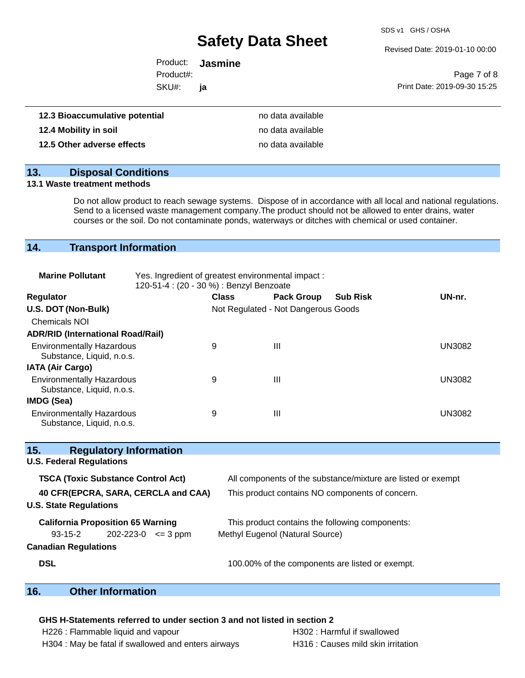SDS v1 GHS / OSHA

Revised Date: 2019-01-10 00:00

| الملئممنهم مبانعاتيمير | na data availahla.      |                              |
|------------------------|-------------------------|------------------------------|
| SKU#:                  | ia                      | Print Date: 2019-09-30 15:25 |
| Product#:              |                         | Page 7 of 8                  |
|                        | Product: <b>Jasmine</b> |                              |

| 12.3 Bioaccumulative potential | no data available |
|--------------------------------|-------------------|
| 12.4 Mobility in soil          | no data available |
| 12.5 Other adverse effects     | no data available |

### **13. Disposal Conditions**

#### **13.1 Waste treatment methods**

Do not allow product to reach sewage systems. Dispose of in accordance with all local and national regulations. Send to a licensed waste management company.The product should not be allowed to enter drains, water courses or the soil. Do not contaminate ponds, waterways or ditches with chemical or used container.

### **14. Transport Information**

| <b>Marine Pollutant</b>                                       | Yes. Ingredient of greatest environmental impact:<br>120-51-4 : (20 - 30 %) : Benzyl Benzoate |              |                                     |                 |               |
|---------------------------------------------------------------|-----------------------------------------------------------------------------------------------|--------------|-------------------------------------|-----------------|---------------|
| <b>Regulator</b>                                              |                                                                                               | <b>Class</b> | <b>Pack Group</b>                   | <b>Sub Risk</b> | UN-nr.        |
| U.S. DOT (Non-Bulk)                                           |                                                                                               |              | Not Regulated - Not Dangerous Goods |                 |               |
| <b>Chemicals NOI</b>                                          |                                                                                               |              |                                     |                 |               |
| <b>ADR/RID (International Road/Rail)</b>                      |                                                                                               |              |                                     |                 |               |
| <b>Environmentally Hazardous</b><br>Substance, Liquid, n.o.s. |                                                                                               | 9            | Ш                                   |                 | <b>UN3082</b> |
| <b>IATA (Air Cargo)</b>                                       |                                                                                               |              |                                     |                 |               |
| <b>Environmentally Hazardous</b><br>Substance, Liquid, n.o.s. |                                                                                               | 9            | Ш                                   |                 | <b>UN3082</b> |
| IMDG (Sea)                                                    |                                                                                               |              |                                     |                 |               |
| <b>Environmentally Hazardous</b><br>Substance, Liquid, n.o.s. |                                                                                               | 9            | Ш                                   |                 | <b>UN3082</b> |

| 15.        | <b>Regulatory Information</b>             |              |                                                              |
|------------|-------------------------------------------|--------------|--------------------------------------------------------------|
|            | <b>U.S. Federal Regulations</b>           |              |                                                              |
|            | <b>TSCA (Toxic Substance Control Act)</b> |              | All components of the substance/mixture are listed or exempt |
|            | 40 CFR(EPCRA, SARA, CERCLA and CAA)       |              | This product contains NO components of concern.              |
|            | <b>U.S. State Regulations</b>             |              |                                                              |
|            | <b>California Proposition 65 Warning</b>  |              | This product contains the following components:              |
|            | 93-15-2<br>202-223-0                      | $\leq$ 3 ppm | Methyl Eugenol (Natural Source)                              |
|            | <b>Canadian Regulations</b>               |              |                                                              |
| <b>DSL</b> |                                           |              | 100.00% of the components are listed or exempt.              |

# **16. Other Information**

### **GHS H-Statements referred to under section 3 and not listed in section 2**